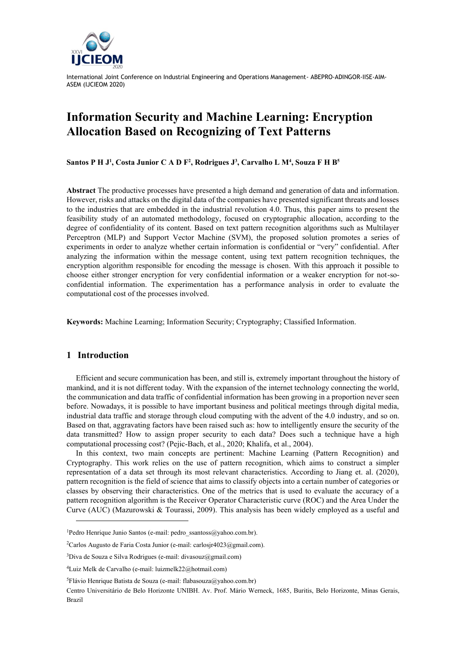

# **Information Security and Machine Learning: Encryption Allocation Based on Recognizing of Text Patterns**

**Santos P H J<sup>1</sup> , Costa Junior C A D F<sup>2</sup> , Rodrigues J 3 , Carvalho L M<sup>4</sup> , Souza F H B<sup>5</sup>**

**Abstract** The productive processes have presented a high demand and generation of data and information. However, risks and attacks on the digital data of the companies have presented significant threats and losses to the industries that are embedded in the industrial revolution 4.0. Thus, this paper aims to present the feasibility study of an automated methodology, focused on cryptographic allocation, according to the degree of confidentiality of its content. Based on text pattern recognition algorithms such as Multilayer Perceptron (MLP) and Support Vector Machine (SVM), the proposed solution promotes a series of experiments in order to analyze whether certain information is confidential or "very" confidential. After analyzing the information within the message content, using text pattern recognition techniques, the encryption algorithm responsible for encoding the message is chosen. With this approach it possible to choose either stronger encryption for very confidential information or a weaker encryption for not-soconfidential information. The experimentation has a performance analysis in order to evaluate the computational cost of the processes involved.

**Keywords:** Machine Learning; Information Security; Cryptography; Classified Information.

### **1 Introduction**

Efficient and secure communication has been, and still is, extremely important throughout the history of mankind, and it is not different today. With the expansion of the internet technology connecting the world, the communication and data traffic of confidential information has been growing in a proportion never seen before. Nowadays, it is possible to have important business and political meetings through digital media, industrial data traffic and storage through cloud computing with the advent of the 4.0 industry, and so on. Based on that, aggravating factors have been raised such as: how to intelligently ensure the security of the data transmitted? How to assign proper security to each data? Does such a technique have a high computational processing cost? (Pejic-Bach, et al., 2020; Khalifa, et al., 2004).

In this context, two main concepts are pertinent: Machine Learning (Pattern Recognition) and Cryptography. This work relies on the use of pattern recognition, which aims to construct a simpler representation of a data set through its most relevant characteristics. According to Jiang et. al. (2020), pattern recognition is the field of science that aims to classify objects into a certain number of categories or classes by observing their characteristics. One of the metrics that is used to evaluate the accuracy of a pattern recognition algorithm is the Receiver Operator Characteristic curve (ROC) and the Area Under the Curve (AUC) (Mazurowski & Tourassi, 2009). This analysis has been widely employed as a useful and

<sup>&</sup>lt;sup>1</sup>Pedro Henrique Junio Santos (e-mail: pedro\_ssantoss@yahoo.com.br).

<sup>&</sup>lt;sup>2</sup>Carlos Augusto de Faria Costa Junior (e-mail: carlosir $4023@$ gmail.com).

 $3$ Diva de Souza e Silva Rodrigues (e-mail: divasouz $(\partial \text{g}$ mail.com)

<sup>4</sup>Luiz Melk de Carvalho (e-mail: luizmelk22@hotmail.com)

<sup>&</sup>lt;sup>5</sup>Flávio Henrique Batista de Souza (e-mail: flabasouza@yahoo.com.br)

Centro Universitário de Belo Horizonte UNIBH. Av. Prof. Mário Werneck, 1685, Buritis, Belo Horizonte, Minas Gerais, Brazil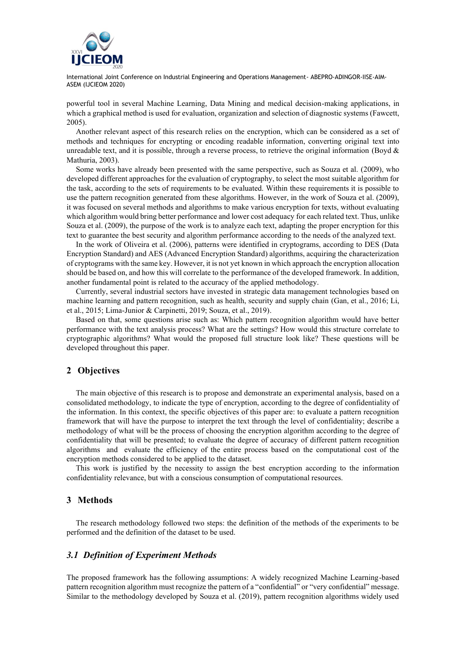

powerful tool in several Machine Learning, Data Mining and medical decision-making applications, in which a graphical method is used for evaluation, organization and selection of diagnostic systems (Fawcett, 2005).

Another relevant aspect of this research relies on the encryption, which can be considered as a set of methods and techniques for encrypting or encoding readable information, converting original text into unreadable text, and it is possible, through a reverse process, to retrieve the original information (Boyd  $\&$ Mathuria, 2003).

Some works have already been presented with the same perspective, such as Souza et al. (2009), who developed different approaches for the evaluation of cryptography, to select the most suitable algorithm for the task, according to the sets of requirements to be evaluated. Within these requirements it is possible to use the pattern recognition generated from these algorithms. However, in the work of Souza et al. (2009), it was focused on several methods and algorithms to make various encryption for texts, without evaluating which algorithm would bring better performance and lower cost adequacy for each related text. Thus, unlike Souza et al. (2009), the purpose of the work is to analyze each text, adapting the proper encryption for this text to guarantee the best security and algorithm performance according to the needs of the analyzed text.

In the work of Oliveira et al. (2006), patterns were identified in cryptograms, according to DES (Data Encryption Standard) and AES (Advanced Encryption Standard) algorithms, acquiring the characterization of cryptograms with the same key. However, it is not yet known in which approach the encryption allocation should be based on, and how this will correlate to the performance of the developed framework. In addition, another fundamental point is related to the accuracy of the applied methodology.

Currently, several industrial sectors have invested in strategic data management technologies based on machine learning and pattern recognition, such as health, security and supply chain (Gan, et al., 2016; Li, et al., 2015; Lima-Junior & Carpinetti, 2019; Souza, et al., 2019).

Based on that, some questions arise such as: Which pattern recognition algorithm would have better performance with the text analysis process? What are the settings? How would this structure correlate to cryptographic algorithms? What would the proposed full structure look like? These questions will be developed throughout this paper.

### **2 Objectives**

The main objective of this research is to propose and demonstrate an experimental analysis, based on a consolidated methodology, to indicate the type of encryption, according to the degree of confidentiality of the information. In this context, the specific objectives of this paper are: to evaluate a pattern recognition framework that will have the purpose to interpret the text through the level of confidentiality; describe a methodology of what will be the process of choosing the encryption algorithm according to the degree of confidentiality that will be presented; to evaluate the degree of accuracy of different pattern recognition algorithms and evaluate the efficiency of the entire process based on the computational cost of the encryption methods considered to be applied to the dataset.

This work is justified by the necessity to assign the best encryption according to the information confidentiality relevance, but with a conscious consumption of computational resources.

### **3 Methods**

The research methodology followed two steps: the definition of the methods of the experiments to be performed and the definition of the dataset to be used.

#### *3.1 Definition of Experiment Methods*

The proposed framework has the following assumptions: A widely recognized Machine Learning-based pattern recognition algorithm must recognize the pattern of a "confidential" or "very confidential" message. Similar to the methodology developed by Souza et al. (2019), pattern recognition algorithms widely used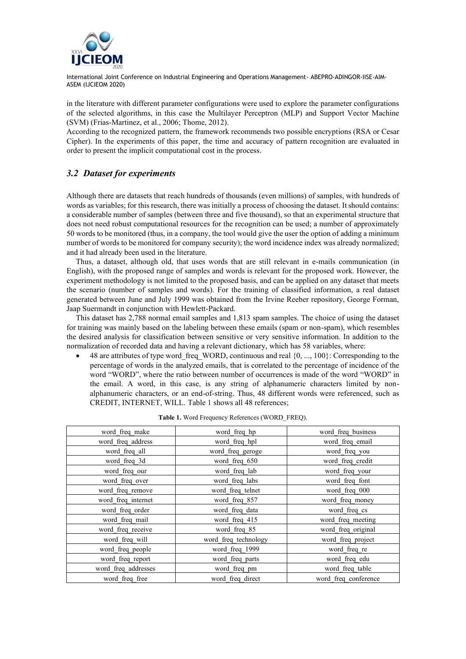

in the literature with different parameter configurations were used to explore the parameter configurations of the selected algorithms, in this case the Multilayer Perceptron (MLP) and Support Vector Machine (SVM) (Frias-Martinez, et al., 2006; Thome, 2012).

According to the recognized pattern, the framework recommends two possible encryptions (RSA or Cesar Cipher). In the experiments of this paper, the time and accuracy of pattern recognition are evaluated in order to present the implicit computational cost in the process.

# *3.2 Dataset for experiments*

Although there are datasets that reach hundreds of thousands (even millions) of samples, with hundreds of words as variables; for this research, there was initially a process of choosing the dataset. It should contains: a considerable number of samples (between three and five thousand), so that an experimental structure that does not need robust computational resources for the recognition can be used; a number of approximately 50 words to be monitored (thus, in a company, the tool would give the user the option of adding a minimum number of words to be monitored for company security); the word incidence index was already normalized; and it had already been used in the literature.

Thus, a dataset, although old, that uses words that are still relevant in e-mails communication (in English), with the proposed range of samples and words is relevant for the proposed work. However, the experiment methodology is not limited to the proposed basis, and can be applied on any dataset that meets the scenario (number of samples and words). For the training of classified information, a real dataset generated between June and July 1999 was obtained from the Irvine Reeber repository, George Forman, Jaap Suermandt in conjunction with Hewlett-Packard.

This dataset has 2,788 normal email samples and 1,813 spam samples. The choice of using the dataset for training was mainly based on the labeling between these emails (spam or non-spam), which resembles the desired analysis for classification between sensitive or very sensitive information. In addition to the normalization of recorded data and having a relevant dictionary, which has 58 variables, where:

• 48 are attributes of type word freq WORD, continuous and real  ${0, ..., 100}$ : Corresponding to the percentage of words in the analyzed emails, that is correlated to the percentage of incidence of the word "WORD", where the ratio between number of occurrences is made of the word "WORD" in the email. A word, in this case, is any string of alphanumeric characters limited by nonalphanumeric characters, or an end-of-string. Thus, 48 different words were referenced, such as CREDIT, INTERNET, WILL. Table 1 shows all 48 references;

| word freq make      | word freq hp         | word freq business   |  |
|---------------------|----------------------|----------------------|--|
| word freq address   | word freq hpl        | word freq email      |  |
| word freq all       | word freq_geroge     | word freq you        |  |
| word freq 3d        | word freq 650        | word freq credit     |  |
| word freq our       | word freq lab        | word freq your       |  |
| word freq_over      | word freq labs       | word freq font       |  |
| word freq remove    | word freq telnet     | word freq 000        |  |
| word freq internet  | word freq 857        | word freq money      |  |
| word freq order     | word freq data       | word freq cs         |  |
| word freq mail      | word freq 415        | word freq meeting    |  |
| word freq receive   | word freq 85         | word freq original   |  |
| word freq will      | word freq technology | word freq project    |  |
| word freq people    | word freq 1999       | word freq re         |  |
| word freq report    | word freq parts      | word freq edu        |  |
| word freq addresses | word freq pm         | word freq table      |  |
| word freq free      | word freq direct     | word freq conference |  |

|  | <b>Table 1.</b> Word Frequency References (WORD FREQ). |  |
|--|--------------------------------------------------------|--|
|  |                                                        |  |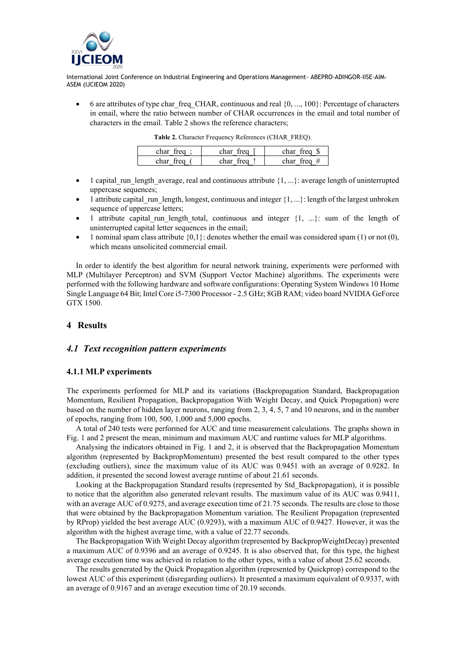

6 are attributes of type charafreq CHAR, continuous and real  $\{0, ..., 100\}$ : Percentage of characters in email, where the ratio between number of CHAR occurrences in the email and total number of characters in the email. Table 2 shows the reference characters;

| char treg | char treg | char<br>trea i        |
|-----------|-----------|-----------------------|
| char freq | char treo | char<br>$tr$ eq $\pi$ |

|  | Table 2. Character Frequency References (CHAR FREQ). |  |
|--|------------------------------------------------------|--|

- 1 capital\_run\_length\_average, real and continuous attribute  ${1, \ldots}$ : average length of uninterrupted uppercase sequences;
- 1 attribute capital run length, longest, continuous and integer  ${1, \ldots}$ : length of the largest unbroken sequence of uppercase letters;
- 1 attribute capital run length total, continuous and integer  ${1, ...}$ : sum of the length of uninterrupted capital letter sequences in the email;
- 1 nominal spam class attribute  $\{0,1\}$ : denotes whether the email was considered spam (1) or not (0), which means unsolicited commercial email.

In order to identify the best algorithm for neural network training, experiments were performed with MLP (Multilayer Perceptron) and SVM (Support Vector Machine) algorithms. The experiments were performed with the following hardware and software configurations: Operating System Windows 10 Home Single Language 64 Bit; Intel Core i5-7300 Processor - 2.5 GHz; 8GB RAM; video board NVIDIA GeForce GTX 1500.

### **4 Results**

### *4.1 Text recognition pattern experiments*

#### **4.1.1 MLP experiments**

The experiments performed for MLP and its variations (Backpropagation Standard, Backpropagation Momentum, Resilient Propagation, Backpropagation With Weight Decay, and Quick Propagation) were based on the number of hidden layer neurons, ranging from 2, 3, 4, 5, 7 and 10 neurons, and in the number of epochs, ranging from 100, 500, 1,000 and 5,000 epochs.

A total of 240 tests were performed for AUC and time measurement calculations. The graphs shown in Fig. 1 and 2 present the mean, minimum and maximum AUC and runtime values for MLP algorithms.

Analysing the indicators obtained in Fig. 1 and 2, it is observed that the Backpropagation Momentum algorithm (represented by BackpropMomentum) presented the best result compared to the other types (excluding outliers), since the maximum value of its AUC was 0.9451 with an average of 0.9282. In addition, it presented the second lowest average runtime of about 21.61 seconds.

Looking at the Backpropagation Standard results (represented by Std\_Backpropagation), it is possible to notice that the algorithm also generated relevant results. The maximum value of its AUC was 0.9411, with an average AUC of 0.9275, and average execution time of 21.75 seconds. The results are close to those that were obtained by the Backpropagation Momentum variation. The Resilient Propagation (represented by RProp) yielded the best average AUC (0.9293), with a maximum AUC of 0.9427. However, it was the algorithm with the highest average time, with a value of 22.77 seconds.

The Backpropagation With Weight Decay algorithm (represented by BackpropWeightDecay) presented a maximum AUC of 0.9396 and an average of 0.9245. It is also observed that, for this type, the highest average execution time was achieved in relation to the other types, with a value of about 25.62 seconds.

The results generated by the Quick Propagation algorithm (represented by Quickprop) correspond to the lowest AUC of this experiment (disregarding outliers). It presented a maximum equivalent of 0.9337, with an average of 0.9167 and an average execution time of 20.19 seconds.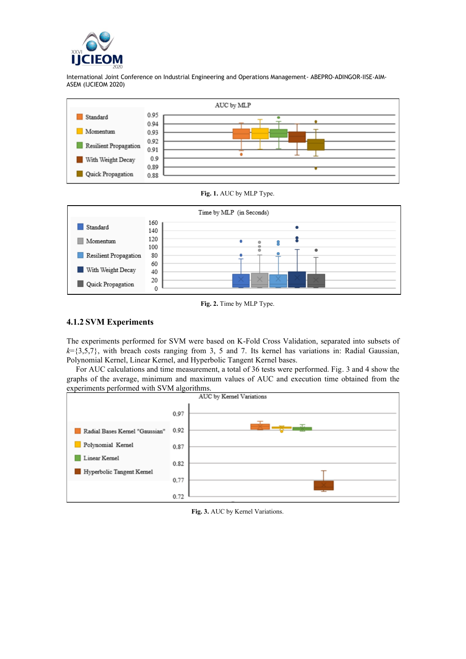



**Fig. 1.** AUC by MLP Type.



**Fig. 2.** Time by MLP Type.

# **4.1.2 SVM Experiments**

The experiments performed for SVM were based on K-Fold Cross Validation, separated into subsets of  $k=\{3,5,7\}$ , with breach costs ranging from 3, 5 and 7. Its kernel has variations in: Radial Gaussian, Polynomial Kernel, Linear Kernel, and Hyperbolic Tangent Kernel bases.

For AUC calculations and time measurement, a total of 36 tests were performed. Fig. 3 and 4 show the graphs of the average, minimum and maximum values of AUC and execution time obtained from the



**Fig. 3.** AUC by Kernel Variations.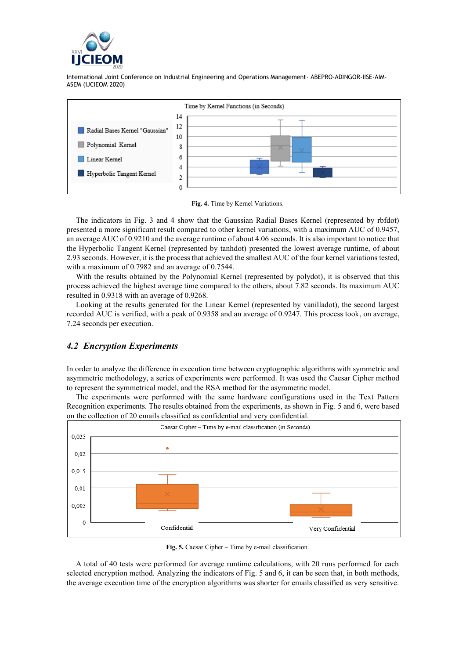



**Fig. 4.** Time by Kernel Variations.

The indicators in Fig. 3 and 4 show that the Gaussian Radial Bases Kernel (represented by rbfdot) presented a more significant result compared to other kernel variations, with a maximum AUC of 0.9457, an average AUC of 0.9210 and the average runtime of about 4.06 seconds. It is also important to notice that the Hyperbolic Tangent Kernel (represented by tanhdot) presented the lowest average runtime, of about 2.93 seconds. However, it is the process that achieved the smallest AUC of the four kernel variations tested, with a maximum of 0.7982 and an average of 0.7544.

With the results obtained by the Polynomial Kernel (represented by polydot), it is observed that this process achieved the highest average time compared to the others, about 7.82 seconds. Its maximum AUC resulted in 0.9318 with an average of 0.9268.

Looking at the results generated for the Linear Kernel (represented by vanilladot), the second largest recorded AUC is verified, with a peak of 0.9358 and an average of 0.9247. This process took, on average, 7.24 seconds per execution.

# *4.2 Encryption Experiments*

In order to analyze the difference in execution time between cryptographic algorithms with symmetric and asymmetric methodology, a series of experiments were performed. It was used the Caesar Cipher method to represent the symmetrical model, and the RSA method for the asymmetric model.

The experiments were performed with the same hardware configurations used in the Text Pattern Recognition experiments. The results obtained from the experiments, as shown in Fig. 5 and 6, were based on the collection of 20 emails classified as confidential and very confidential.



**Fig. 5.** Caesar Cipher – Time by e-mail classification.

A total of 40 tests were performed for average runtime calculations, with 20 runs performed for each selected encryption method. Analyzing the indicators of Fig. 5 and 6, it can be seen that, in both methods, the average execution time of the encryption algorithms was shorter for emails classified as very sensitive.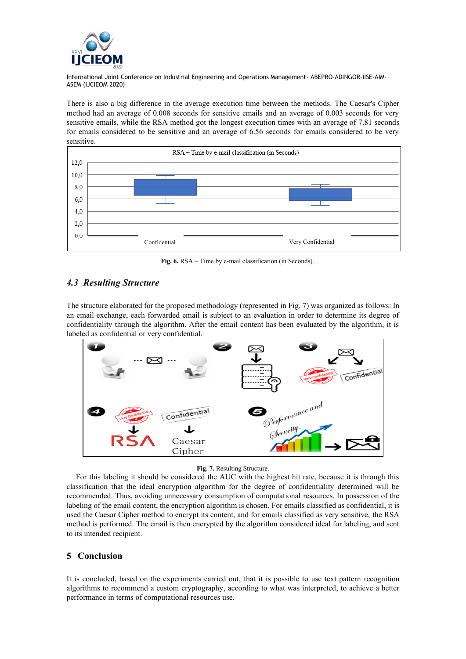

There is also a big difference in the average execution time between the methods. The Caesar's Cipher method had an average of 0.008 seconds for sensitive emails and an average of 0.003 seconds for very sensitive emails, while the RSA method got the longest execution times with an average of 7.81 seconds for emails considered to be sensitive and an average of 6.56 seconds for emails considered to be very sensitive.



**Fig. 6.** RSA – Time by e-mail classification (in Seconds).

# *4.3 Resulting Structure*

The structure elaborated for the proposed methodology (represented in Fig. 7) was organized as follows: In an email exchange, each forwarded email is subject to an evaluation in order to determine its degree of confidentiality through the algorithm. After the email content has been evaluated by the algorithm, it is labeled as confidential or very confidential.



#### **Fig. 7.** Resulting Structure.

For this labeling it should be considered the AUC with the highest hit rate, because it is through this classification that the ideal encryption algorithm for the degree of confidentiality determined will be recommended. Thus, avoiding unnecessary consumption of computational resources. In possession of the labeling of the email content, the encryption algorithm is chosen. For emails classified as confidential, it is used the Caesar Cipher method to encrypt its content, and for emails classified as very sensitive, the RSA method is performed. The email is then encrypted by the algorithm considered ideal for labeling, and sent to its intended recipient.

# **5 Conclusion**

It is concluded, based on the experiments carried out, that it is possible to use text pattern recognition algorithms to recommend a custom cryptography, according to what was interpreted, to achieve a better performance in terms of computational resources use.